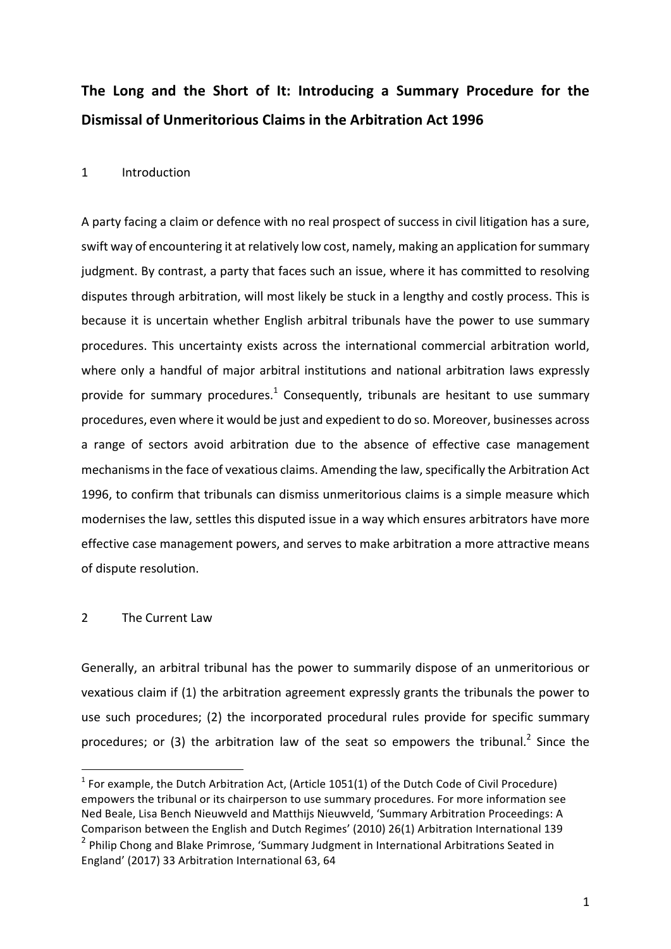# The Long and the Short of It: Introducing a Summary Procedure for the **Dismissal of Unmeritorious Claims in the Arbitration Act 1996**

#### 1 Introduction

A party facing a claim or defence with no real prospect of success in civil litigation has a sure, swift way of encountering it at relatively low cost, namely, making an application for summary judgment. By contrast, a party that faces such an issue, where it has committed to resolving disputes through arbitration, will most likely be stuck in a lengthy and costly process. This is because it is uncertain whether English arbitral tribunals have the power to use summary procedures. This uncertainty exists across the international commercial arbitration world, where only a handful of major arbitral institutions and national arbitration laws expressly provide for summary procedures.<sup>1</sup> Consequently, tribunals are hesitant to use summary procedures, even where it would be just and expedient to do so. Moreover, businesses across a range of sectors avoid arbitration due to the absence of effective case management mechanisms in the face of vexatious claims. Amending the law, specifically the Arbitration Act 1996, to confirm that tribunals can dismiss unmeritorious claims is a simple measure which modernises the law, settles this disputed issue in a way which ensures arbitrators have more effective case management powers, and serves to make arbitration a more attractive means of dispute resolution.

#### 2 The Current Law

 

Generally, an arbitral tribunal has the power to summarily dispose of an unmeritorious or vexatious claim if (1) the arbitration agreement expressly grants the tribunals the power to use such procedures; (2) the incorporated procedural rules provide for specific summary procedures; or (3) the arbitration law of the seat so empowers the tribunal.<sup>2</sup> Since the

 $<sup>1</sup>$  For example, the Dutch Arbitration Act, (Article 1051(1) of the Dutch Code of Civil Procedure)</sup> empowers the tribunal or its chairperson to use summary procedures. For more information see Ned Beale, Lisa Bench Nieuwveld and Matthijs Nieuwveld, 'Summary Arbitration Proceedings: A Comparison between the English and Dutch Regimes' (2010) 26(1) Arbitration International 139  $<sup>2</sup>$  Philip Chong and Blake Primrose, 'Summary Judgment in International Arbitrations Seated in</sup> England' (2017) 33 Arbitration International 63, 64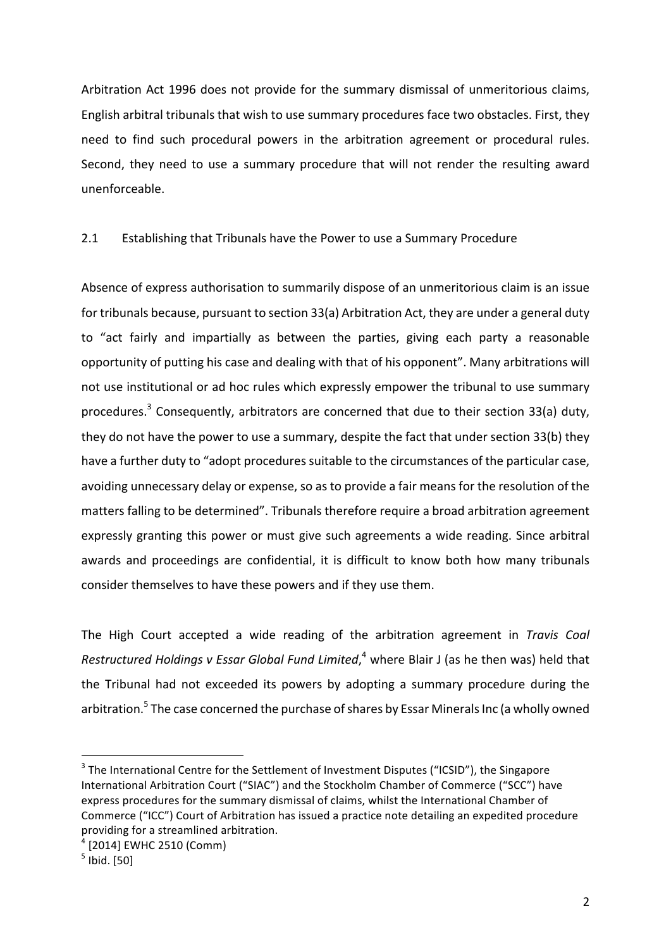Arbitration Act 1996 does not provide for the summary dismissal of unmeritorious claims, English arbitral tribunals that wish to use summary procedures face two obstacles. First, they need to find such procedural powers in the arbitration agreement or procedural rules. Second, they need to use a summary procedure that will not render the resulting award unenforceable. 

### 2.1 Establishing that Tribunals have the Power to use a Summary Procedure

Absence of express authorisation to summarily dispose of an unmeritorious claim is an issue for tribunals because, pursuant to section 33(a) Arbitration Act, they are under a general duty to "act fairly and impartially as between the parties, giving each party a reasonable opportunity of putting his case and dealing with that of his opponent". Many arbitrations will not use institutional or ad hoc rules which expressly empower the tribunal to use summary procedures.<sup>3</sup> Consequently, arbitrators are concerned that due to their section 33(a) duty, they do not have the power to use a summary, despite the fact that under section 33(b) they have a further duty to "adopt procedures suitable to the circumstances of the particular case, avoiding unnecessary delay or expense, so as to provide a fair means for the resolution of the matters falling to be determined". Tribunals therefore require a broad arbitration agreement expressly granting this power or must give such agreements a wide reading. Since arbitral awards and proceedings are confidential, it is difficult to know both how many tribunals consider themselves to have these powers and if they use them.

The High Court accepted a wide reading of the arbitration agreement in *Travis Coal* Restructured Holdings v Essar Global Fund Limited,<sup>4</sup> where Blair J (as he then was) held that the Tribunal had not exceeded its powers by adopting a summary procedure during the arbitration.<sup>5</sup> The case concerned the purchase of shares by Essar Minerals Inc (a wholly owned

 $3$  The International Centre for the Settlement of Investment Disputes ("ICSID"), the Singapore International Arbitration Court ("SIAC") and the Stockholm Chamber of Commerce ("SCC") have express procedures for the summary dismissal of claims, whilst the International Chamber of Commerce ("ICC") Court of Arbitration has issued a practice note detailing an expedited procedure providing for a streamlined arbitration.

 $4$  [2014] EWHC 2510 (Comm)

 $<sup>5</sup>$  Ibid. [50]</sup>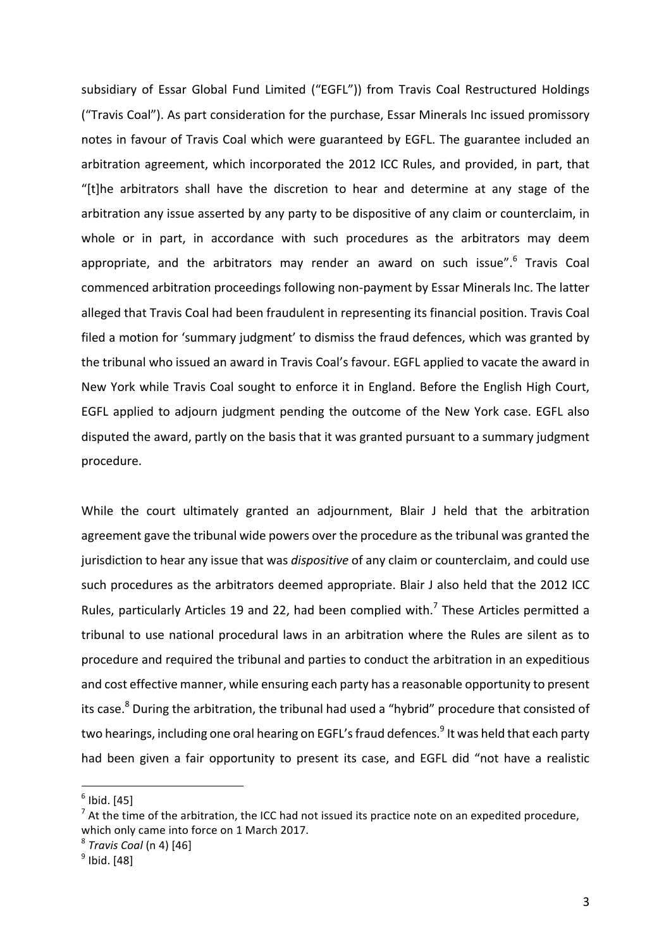subsidiary of Essar Global Fund Limited ("EGFL")) from Travis Coal Restructured Holdings ("Travis Coal"). As part consideration for the purchase, Essar Minerals Inc issued promissory notes in favour of Travis Coal which were guaranteed by EGFL. The guarantee included an arbitration agreement, which incorporated the 2012 ICC Rules, and provided, in part, that "[t]he arbitrators shall have the discretion to hear and determine at any stage of the arbitration any issue asserted by any party to be dispositive of any claim or counterclaim, in whole or in part, in accordance with such procedures as the arbitrators may deem appropriate, and the arbitrators may render an award on such issue".<sup>6</sup> Travis Coal commenced arbitration proceedings following non-payment by Essar Minerals Inc. The latter alleged that Travis Coal had been fraudulent in representing its financial position. Travis Coal filed a motion for 'summary judgment' to dismiss the fraud defences, which was granted by the tribunal who issued an award in Travis Coal's favour. EGFL applied to vacate the award in New York while Travis Coal sought to enforce it in England. Before the English High Court, EGFL applied to adjourn judgment pending the outcome of the New York case. EGFL also disputed the award, partly on the basis that it was granted pursuant to a summary judgment procedure. 

While the court ultimately granted an adjournment, Blair J held that the arbitration agreement gave the tribunal wide powers over the procedure as the tribunal was granted the jurisdiction to hear any issue that was *dispositive* of any claim or counterclaim, and could use such procedures as the arbitrators deemed appropriate. Blair J also held that the 2012 ICC Rules, particularly Articles 19 and 22, had been complied with.<sup>7</sup> These Articles permitted a tribunal to use national procedural laws in an arbitration where the Rules are silent as to procedure and required the tribunal and parties to conduct the arbitration in an expeditious and cost effective manner, while ensuring each party has a reasonable opportunity to present its case.<sup>8</sup> During the arbitration, the tribunal had used a "hybrid" procedure that consisted of two hearings, including one oral hearing on EGFL's fraud defences.<sup>9</sup> It was held that each party had been given a fair opportunity to present its case, and EGFL did "not have a realistic

 $<sup>6</sup>$  Ibid. [45]</sup>

 $<sup>7</sup>$  At the time of the arbitration, the ICC had not issued its practice note on an expedited procedure,</sup> which only came into force on 1 March 2017.

<sup>8</sup> *Travis Coal* (n 4) [46]

 $<sup>9</sup>$  Ibid. [48]</sup>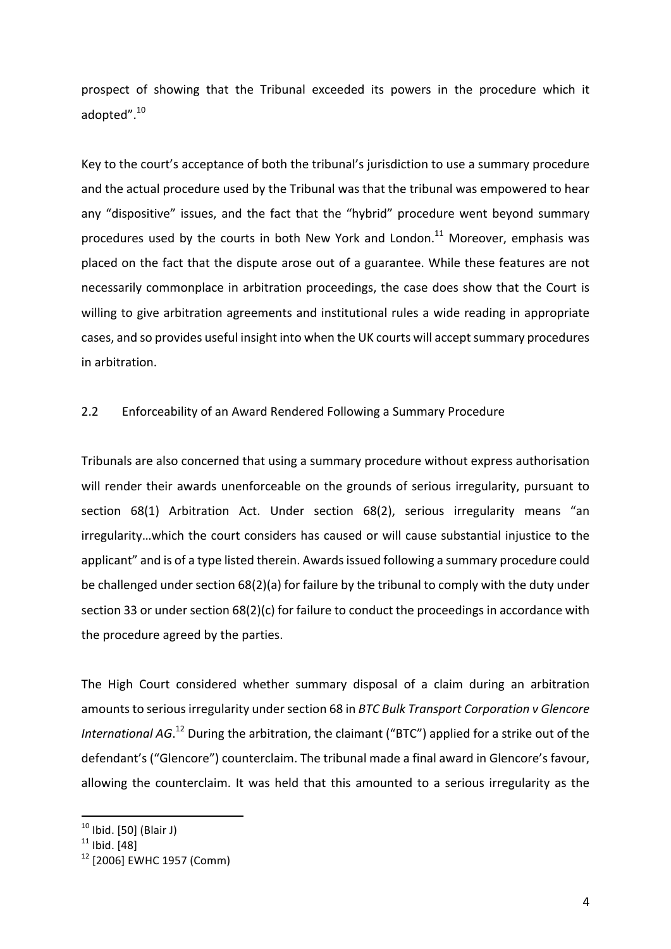prospect of showing that the Tribunal exceeded its powers in the procedure which it adopted".<sup>10</sup>

Key to the court's acceptance of both the tribunal's jurisdiction to use a summary procedure and the actual procedure used by the Tribunal was that the tribunal was empowered to hear any "dispositive" issues, and the fact that the "hybrid" procedure went beyond summary procedures used by the courts in both New York and London.<sup>11</sup> Moreover, emphasis was placed on the fact that the dispute arose out of a guarantee. While these features are not necessarily commonplace in arbitration proceedings, the case does show that the Court is willing to give arbitration agreements and institutional rules a wide reading in appropriate cases, and so provides useful insight into when the UK courts will accept summary procedures in arbitration.

#### 2.2 Enforceability of an Award Rendered Following a Summary Procedure

Tribunals are also concerned that using a summary procedure without express authorisation will render their awards unenforceable on the grounds of serious irregularity, pursuant to section 68(1) Arbitration Act. Under section 68(2), serious irregularity means "an irregularity...which the court considers has caused or will cause substantial injustice to the applicant" and is of a type listed therein. Awards issued following a summary procedure could be challenged under section 68(2)(a) for failure by the tribunal to comply with the duty under section 33 or under section  $68(2)(c)$  for failure to conduct the proceedings in accordance with the procedure agreed by the parties.

The High Court considered whether summary disposal of a claim during an arbitration amounts to serious irregularity under section 68 in *BTC Bulk Transport Corporation v Glencore* International AG.<sup>12</sup> During the arbitration, the claimant ("BTC") applied for a strike out of the defendant's ("Glencore") counterclaim. The tribunal made a final award in Glencore's favour, allowing the counterclaim. It was held that this amounted to a serious irregularity as the

 $10$  Ibid. [50] (Blair J)

 $11$  Ibid. [48]

<sup>&</sup>lt;sup>12</sup> [2006] EWHC 1957 (Comm)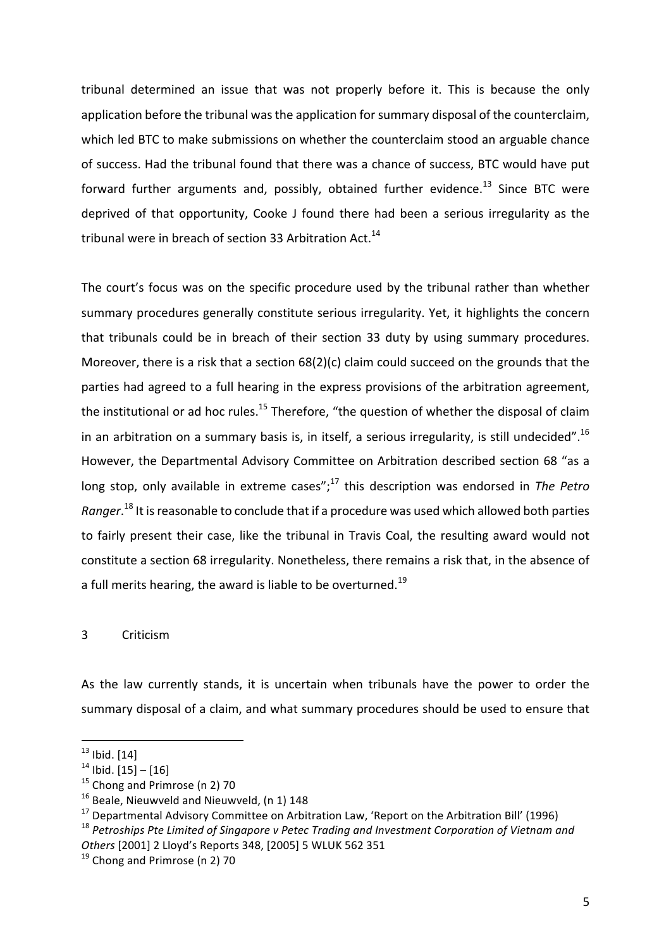tribunal determined an issue that was not properly before it. This is because the only application before the tribunal was the application for summary disposal of the counterclaim, which led BTC to make submissions on whether the counterclaim stood an arguable chance of success. Had the tribunal found that there was a chance of success, BTC would have put forward further arguments and, possibly, obtained further evidence.<sup>13</sup> Since BTC were deprived of that opportunity, Cooke J found there had been a serious irregularity as the tribunal were in breach of section 33 Arbitration Act.<sup>14</sup>

The court's focus was on the specific procedure used by the tribunal rather than whether summary procedures generally constitute serious irregularity. Yet, it highlights the concern that tribunals could be in breach of their section 33 duty by using summary procedures. Moreover, there is a risk that a section  $68(2)(c)$  claim could succeed on the grounds that the parties had agreed to a full hearing in the express provisions of the arbitration agreement, the institutional or ad hoc rules.<sup>15</sup> Therefore, "the question of whether the disposal of claim in an arbitration on a summary basis is, in itself, a serious irregularity, is still undecided".<sup>16</sup> However, the Departmental Advisory Committee on Arbitration described section 68 "as a long stop, only available in extreme cases";<sup>17</sup> this description was endorsed in *The Petro* Ranger.<sup>18</sup> It is reasonable to conclude that if a procedure was used which allowed both parties to fairly present their case, like the tribunal in Travis Coal, the resulting award would not constitute a section 68 irregularity. Nonetheless, there remains a risk that, in the absence of a full merits hearing, the award is liable to be overturned.<sup>19</sup>

#### 3 Criticism

As the law currently stands, it is uncertain when tribunals have the power to order the summary disposal of a claim, and what summary procedures should be used to ensure that

<sup>18</sup> Petroships Pte Limited of Singapore v Petec Trading and Investment Corporation of Vietnam and *Others* [2001] 2 Lloyd's Reports 348, [2005] 5 WLUK 562 351

  $13$  Ibid. [14]

 $14$  Ibid. [15] – [16]

 $15$  Chong and Primrose (n 2) 70

 $16$  Beale, Nieuwveld and Nieuwveld, (n 1) 148

 $17$  Departmental Advisory Committee on Arbitration Law, 'Report on the Arbitration Bill' (1996)

 $19$  Chong and Primrose (n 2) 70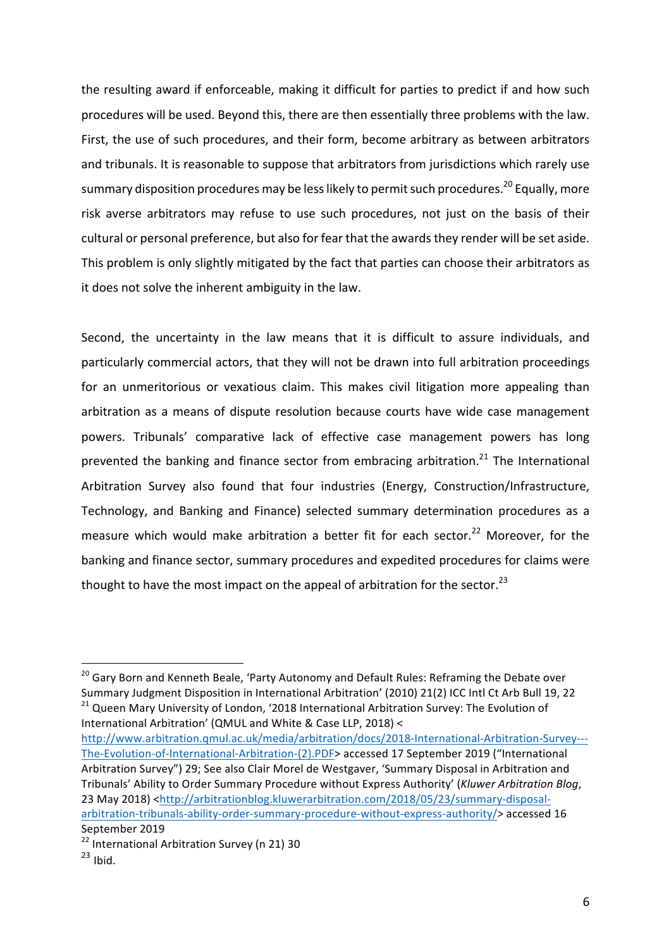the resulting award if enforceable, making it difficult for parties to predict if and how such procedures will be used. Beyond this, there are then essentially three problems with the law. First, the use of such procedures, and their form, become arbitrary as between arbitrators and tribunals. It is reasonable to suppose that arbitrators from jurisdictions which rarely use summary disposition procedures may be less likely to permit such procedures.<sup>20</sup> Equally, more risk averse arbitrators may refuse to use such procedures, not just on the basis of their cultural or personal preference, but also for fear that the awards they render will be set aside. This problem is only slightly mitigated by the fact that parties can choose their arbitrators as it does not solve the inherent ambiguity in the law.

Second, the uncertainty in the law means that it is difficult to assure individuals, and particularly commercial actors, that they will not be drawn into full arbitration proceedings for an unmeritorious or vexatious claim. This makes civil litigation more appealing than arbitration as a means of dispute resolution because courts have wide case management powers. Tribunals' comparative lack of effective case management powers has long prevented the banking and finance sector from embracing arbitration.<sup>21</sup> The International Arbitration Survey also found that four industries (Energy, Construction/Infrastructure, Technology, and Banking and Finance) selected summary determination procedures as a measure which would make arbitration a better fit for each sector.<sup>22</sup> Moreover, for the banking and finance sector, summary procedures and expedited procedures for claims were thought to have the most impact on the appeal of arbitration for the sector.<sup>23</sup>

http://www.arbitration.qmul.ac.uk/media/arbitration/docs/2018-International-Arbitration-Survey--- The-Evolution-of-International-Arbitration-(2).PDF> accessed 17 September 2019 ("International Arbitration Survey") 29; See also Clair Morel de Westgaver, 'Summary Disposal in Arbitration and Tribunals' Ability to Order Summary Procedure without Express Authority' (*Kluwer Arbitration Blog*, 23 May 2018) <http://arbitrationblog.kluwerarbitration.com/2018/05/23/summary-disposalarbitration-tribunals-ability-order-summary-procedure-without-express-authority/> accessed 16 September 2019

<sup>&</sup>lt;sup>20</sup> Gary Born and Kenneth Beale, 'Party Autonomy and Default Rules: Reframing the Debate over Summary Judgment Disposition in International Arbitration' (2010) 21(2) ICC Intl Ct Arb Bull 19, 22  $21$  Queen Mary University of London, '2018 International Arbitration Survey: The Evolution of International Arbitration' (QMUL and White & Case LLP, 2018) <

<sup>&</sup>lt;sup>22</sup> International Arbitration Survey (n 21) 30

 $23$  Ibid.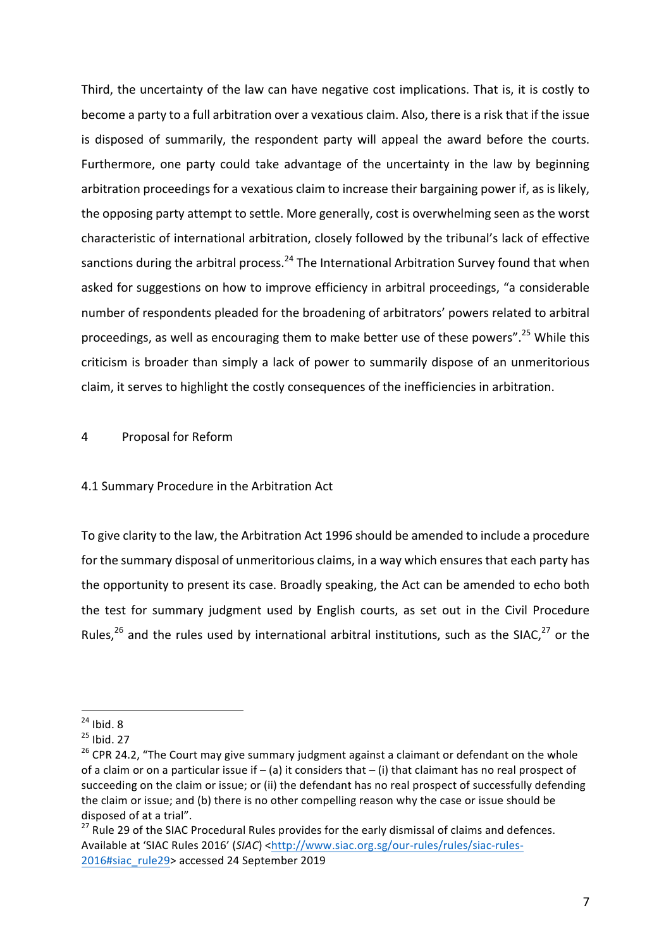Third, the uncertainty of the law can have negative cost implications. That is, it is costly to become a party to a full arbitration over a vexatious claim. Also, there is a risk that if the issue is disposed of summarily, the respondent party will appeal the award before the courts. Furthermore, one party could take advantage of the uncertainty in the law by beginning arbitration proceedings for a vexatious claim to increase their bargaining power if, as is likely, the opposing party attempt to settle. More generally, cost is overwhelming seen as the worst characteristic of international arbitration, closely followed by the tribunal's lack of effective sanctions during the arbitral process.<sup>24</sup> The International Arbitration Survey found that when asked for suggestions on how to improve efficiency in arbitral proceedings, "a considerable number of respondents pleaded for the broadening of arbitrators' powers related to arbitral proceedings, as well as encouraging them to make better use of these powers".<sup>25</sup> While this criticism is broader than simply a lack of power to summarily dispose of an unmeritorious claim, it serves to highlight the costly consequences of the inefficiencies in arbitration.

4 Proposal for Reform

 

#### 4.1 Summary Procedure in the Arbitration Act

To give clarity to the law, the Arbitration Act 1996 should be amended to include a procedure for the summary disposal of unmeritorious claims, in a way which ensures that each party has the opportunity to present its case. Broadly speaking, the Act can be amended to echo both the test for summary judgment used by English courts, as set out in the Civil Procedure Rules,<sup>26</sup> and the rules used by international arbitral institutions, such as the SIAC,<sup>27</sup> or the

 $24$  Ibid. 8

 $25$  Ibid. 27

 $26$  CPR 24.2, "The Court may give summary judgment against a claimant or defendant on the whole of a claim or on a particular issue if – (a) it considers that – (i) that claimant has no real prospect of succeeding on the claim or issue; or (ii) the defendant has no real prospect of successfully defending the claim or issue; and (b) there is no other compelling reason why the case or issue should be disposed of at a trial".

 $27$  Rule 29 of the SIAC Procedural Rules provides for the early dismissal of claims and defences. Available at 'SIAC Rules 2016' (SIAC) <http://www.siac.org.sg/our-rules/rules/siac-rules-2016#siac\_rule29> accessed 24 September 2019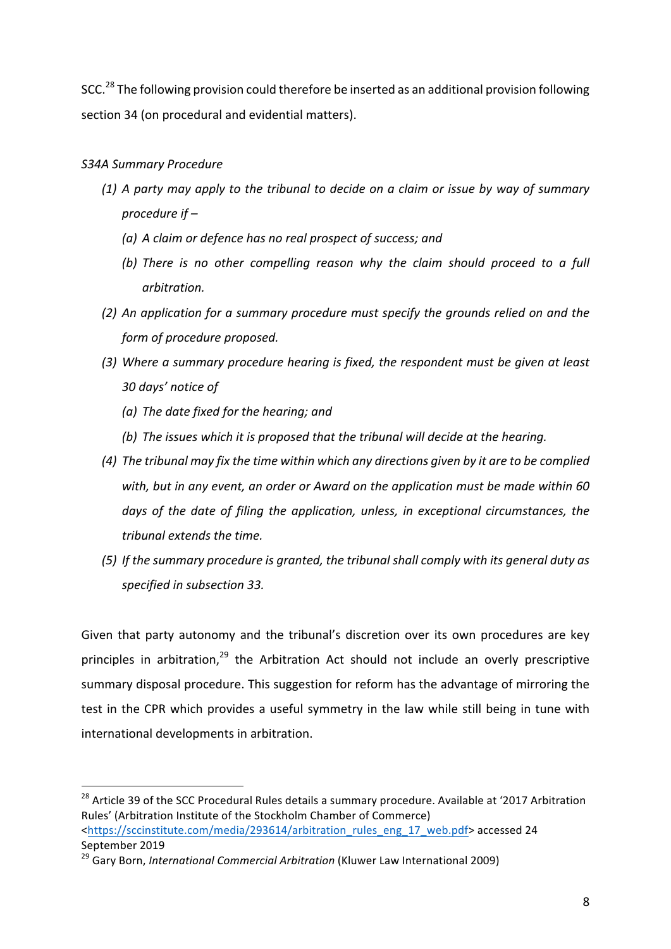SCC.<sup>28</sup> The following provision could therefore be inserted as an additional provision following section 34 (on procedural and evidential matters).

## *S34A Summary Procedure*

 

- *(1) A party may apply to the tribunal to decide on a claim or issue by way of summary*  procedure *if* –
	- *(a) A claim or defence has no real prospect of success; and*
	- *(b)* There is no other compelling reason why the claim should proceed to a full *arbitration.*
- *(2) An application for a summary procedure must specify the grounds relied on and the form of procedure proposed.*
- (3) Where a summary procedure hearing is fixed, the respondent must be given at least *30 days' notice of*
	- *(a)* The date fixed for the hearing; and
	- *(b)* The issues which it is proposed that the tribunal will decide at the hearing.
- (4) The tribunal may fix the time within which any directions given by it are to be complied with, but in any event, an order or Award on the application must be made within 60 days of the date of filing the application, unless, in exceptional circumstances, the *tribunal extends the time.*
- (5) If the summary procedure is granted, the tribunal shall comply with its general duty as *specified in subsection 33.*

Given that party autonomy and the tribunal's discretion over its own procedures are key principles in arbitration, $29$  the Arbitration Act should not include an overly prescriptive summary disposal procedure. This suggestion for reform has the advantage of mirroring the test in the CPR which provides a useful symmetry in the law while still being in tune with international developments in arbitration.

<sup>&</sup>lt;sup>28</sup> Article 39 of the SCC Procedural Rules details a summary procedure. Available at '2017 Arbitration Rules' (Arbitration Institute of the Stockholm Chamber of Commerce) <https://sccinstitute.com/media/293614/arbitration\_rules\_eng\_17\_web.pdf> accessed 24 September 2019

<sup>&</sup>lt;sup>29</sup> Garv Born, *International Commercial Arbitration* (Kluwer Law International 2009)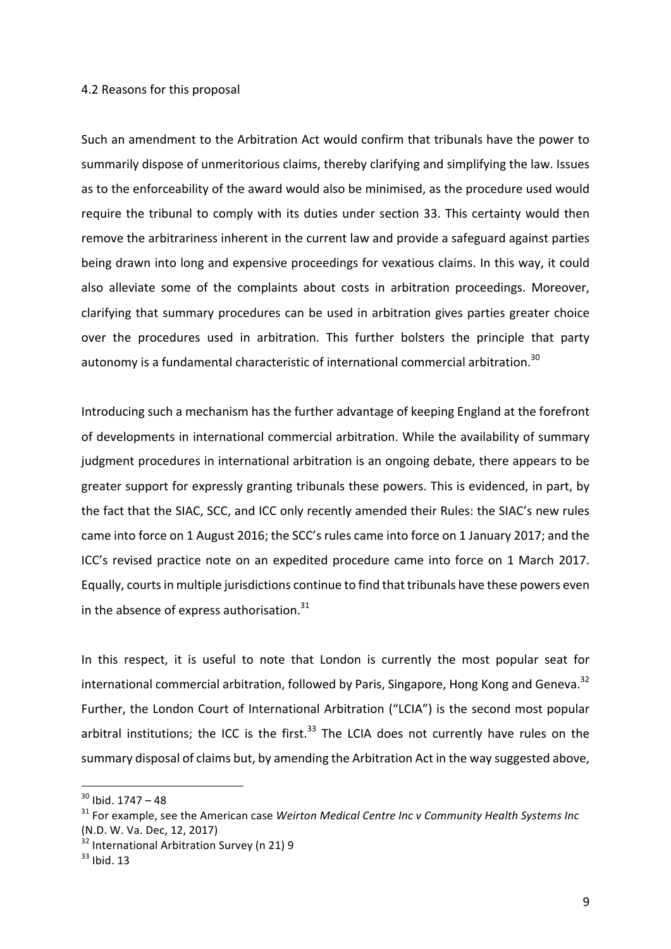#### 4.2 Reasons for this proposal

Such an amendment to the Arbitration Act would confirm that tribunals have the power to summarily dispose of unmeritorious claims, thereby clarifying and simplifying the law. Issues as to the enforceability of the award would also be minimised, as the procedure used would require the tribunal to comply with its duties under section 33. This certainty would then remove the arbitrariness inherent in the current law and provide a safeguard against parties being drawn into long and expensive proceedings for vexatious claims. In this way, it could also alleviate some of the complaints about costs in arbitration proceedings. Moreover, clarifying that summary procedures can be used in arbitration gives parties greater choice over the procedures used in arbitration. This further bolsters the principle that party autonomy is a fundamental characteristic of international commercial arbitration.<sup>30</sup>

Introducing such a mechanism has the further advantage of keeping England at the forefront of developments in international commercial arbitration. While the availability of summary judgment procedures in international arbitration is an ongoing debate, there appears to be greater support for expressly granting tribunals these powers. This is evidenced, in part, by the fact that the SIAC, SCC, and ICC only recently amended their Rules: the SIAC's new rules came into force on 1 August 2016; the SCC's rules came into force on 1 January 2017; and the ICC's revised practice note on an expedited procedure came into force on 1 March 2017. Equally, courts in multiple jurisdictions continue to find that tribunals have these powers even in the absence of express authorisation. $31$ 

In this respect, it is useful to note that London is currently the most popular seat for international commercial arbitration, followed by Paris, Singapore, Hong Kong and Geneva.<sup>32</sup> Further, the London Court of International Arbitration ("LCIA") is the second most popular arbitral institutions; the ICC is the first. $^{33}$  The LCIA does not currently have rules on the summary disposal of claims but, by amending the Arbitration Act in the way suggested above,

 $30$  Ibid. 1747 – 48

<sup>&</sup>lt;sup>31</sup> For example, see the American case Weirton Medical Centre Inc v Community Health Systems Inc (N.D. W. Va. Dec, 12, 2017)

 $32$  International Arbitration Survey (n 21) 9

<sup>33</sup> Ibid. 13